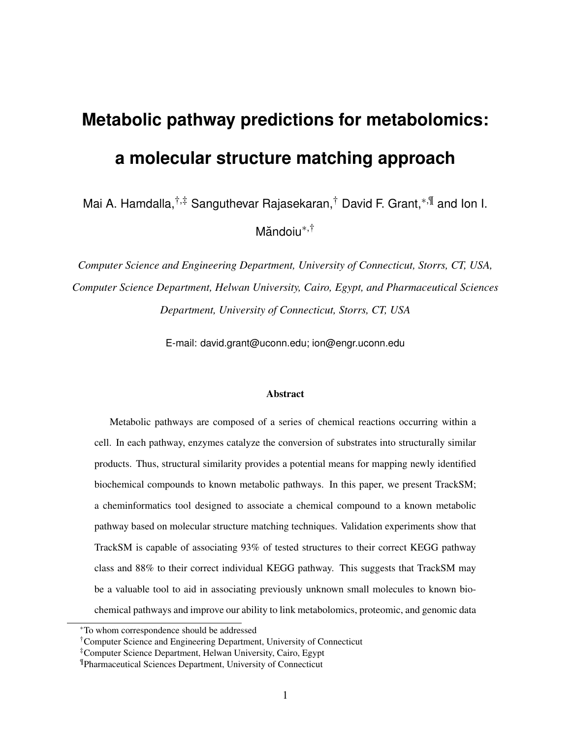# **Metabolic pathway predictions for metabolomics: a molecular structure matching approach**

Mai A. Hamdalla,†,‡ Sanguthevar Rajasekaran,† David F. Grant,∗,¶ and Ion I.

Măndoiu<sup>\*,†</sup>

*Computer Science and Engineering Department, University of Connecticut, Storrs, CT, USA, Computer Science Department, Helwan University, Cairo, Egypt, and Pharmaceutical Sciences Department, University of Connecticut, Storrs, CT, USA*

E-mail: david.grant@uconn.edu; ion@engr.uconn.edu

#### Abstract

Metabolic pathways are composed of a series of chemical reactions occurring within a cell. In each pathway, enzymes catalyze the conversion of substrates into structurally similar products. Thus, structural similarity provides a potential means for mapping newly identified biochemical compounds to known metabolic pathways. In this paper, we present TrackSM; a cheminformatics tool designed to associate a chemical compound to a known metabolic pathway based on molecular structure matching techniques. Validation experiments show that TrackSM is capable of associating 93% of tested structures to their correct KEGG pathway class and 88% to their correct individual KEGG pathway. This suggests that TrackSM may be a valuable tool to aid in associating previously unknown small molecules to known biochemical pathways and improve our ability to link metabolomics, proteomic, and genomic data

<sup>∗</sup>To whom correspondence should be addressed

<sup>†</sup>Computer Science and Engineering Department, University of Connecticut

<sup>‡</sup>Computer Science Department, Helwan University, Cairo, Egypt

<sup>¶</sup>Pharmaceutical Sciences Department, University of Connecticut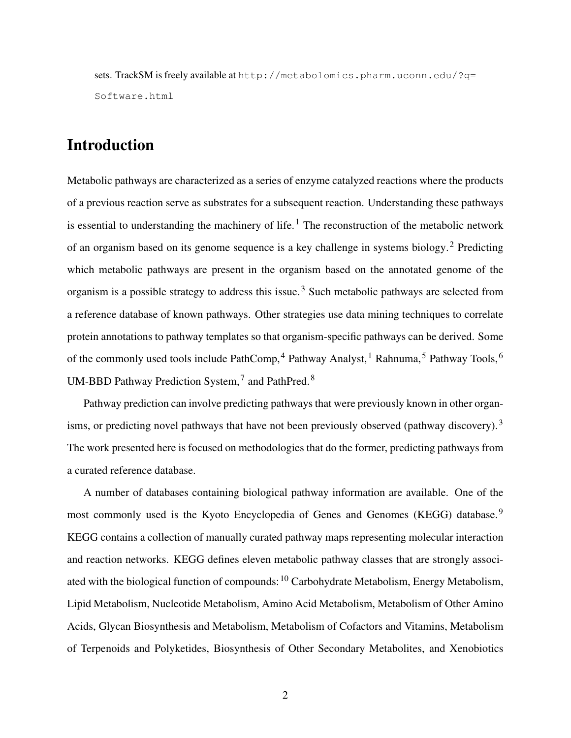sets. TrackSM is freely available at http://metabolomics.pharm.uconn.edu/?q= Software.html

# Introduction

Metabolic pathways are characterized as a series of enzyme catalyzed reactions where the products of a previous reaction serve as substrates for a subsequent reaction. Understanding these pathways is essential to understanding the machinery of life.<sup>1</sup> The reconstruction of the metabolic network of an organism based on its genome sequence is a key challenge in systems biology.<sup>2</sup> Predicting which metabolic pathways are present in the organism based on the annotated genome of the organism is a possible strategy to address this issue.<sup>3</sup> Such metabolic pathways are selected from a reference database of known pathways. Other strategies use data mining techniques to correlate protein annotations to pathway templates so that organism-specific pathways can be derived. Some of the commonly used tools include PathComp,<sup>4</sup> Pathway Analyst,<sup>1</sup> Rahnuma,<sup>5</sup> Pathway Tools,<sup>6</sup> UM-BBD Pathway Prediction System,<sup>7</sup> and PathPred.<sup>8</sup>

Pathway prediction can involve predicting pathways that were previously known in other organisms, or predicting novel pathways that have not been previously observed (pathway discovery).<sup>3</sup> The work presented here is focused on methodologies that do the former, predicting pathways from a curated reference database.

A number of databases containing biological pathway information are available. One of the most commonly used is the Kyoto Encyclopedia of Genes and Genomes (KEGG) database.<sup>9</sup> KEGG contains a collection of manually curated pathway maps representing molecular interaction and reaction networks. KEGG defines eleven metabolic pathway classes that are strongly associated with the biological function of compounds:<sup>10</sup> Carbohydrate Metabolism, Energy Metabolism, Lipid Metabolism, Nucleotide Metabolism, Amino Acid Metabolism, Metabolism of Other Amino Acids, Glycan Biosynthesis and Metabolism, Metabolism of Cofactors and Vitamins, Metabolism of Terpenoids and Polyketides, Biosynthesis of Other Secondary Metabolites, and Xenobiotics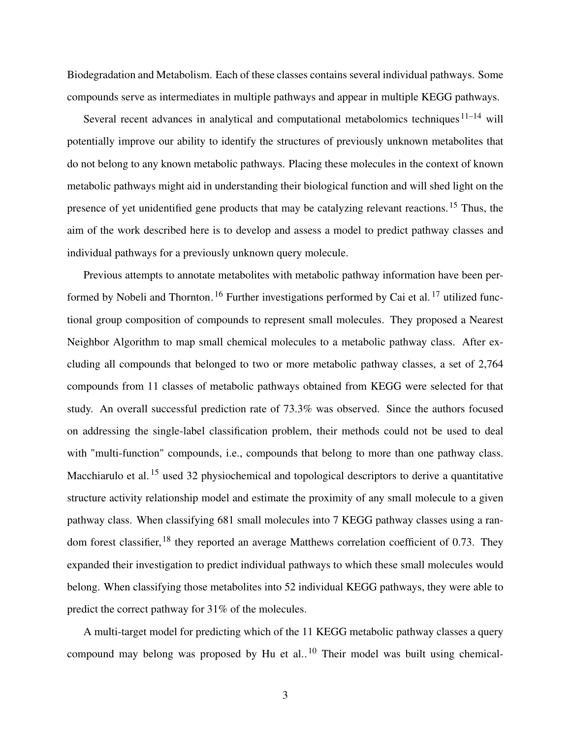Biodegradation and Metabolism. Each of these classes contains several individual pathways. Some compounds serve as intermediates in multiple pathways and appear in multiple KEGG pathways.

Several recent advances in analytical and computational metabolomics techniques<sup>11–14</sup> will potentially improve our ability to identify the structures of previously unknown metabolites that do not belong to any known metabolic pathways. Placing these molecules in the context of known metabolic pathways might aid in understanding their biological function and will shed light on the presence of yet unidentified gene products that may be catalyzing relevant reactions.<sup>15</sup> Thus, the aim of the work described here is to develop and assess a model to predict pathway classes and individual pathways for a previously unknown query molecule.

Previous attempts to annotate metabolites with metabolic pathway information have been performed by Nobeli and Thornton.<sup>16</sup> Further investigations performed by Cai et al.<sup>17</sup> utilized functional group composition of compounds to represent small molecules. They proposed a Nearest Neighbor Algorithm to map small chemical molecules to a metabolic pathway class. After excluding all compounds that belonged to two or more metabolic pathway classes, a set of 2,764 compounds from 11 classes of metabolic pathways obtained from KEGG were selected for that study. An overall successful prediction rate of 73.3% was observed. Since the authors focused on addressing the single-label classification problem, their methods could not be used to deal with "multi-function" compounds, i.e., compounds that belong to more than one pathway class. Macchiarulo et al.<sup>15</sup> used 32 physiochemical and topological descriptors to derive a quantitative structure activity relationship model and estimate the proximity of any small molecule to a given pathway class. When classifying 681 small molecules into 7 KEGG pathway classes using a random forest classifier, <sup>18</sup> they reported an average Matthews correlation coefficient of 0.73. They expanded their investigation to predict individual pathways to which these small molecules would belong. When classifying those metabolites into 52 individual KEGG pathways, they were able to predict the correct pathway for 31% of the molecules.

A multi-target model for predicting which of the 11 KEGG metabolic pathway classes a query compound may belong was proposed by Hu et al..<sup>10</sup> Their model was built using chemical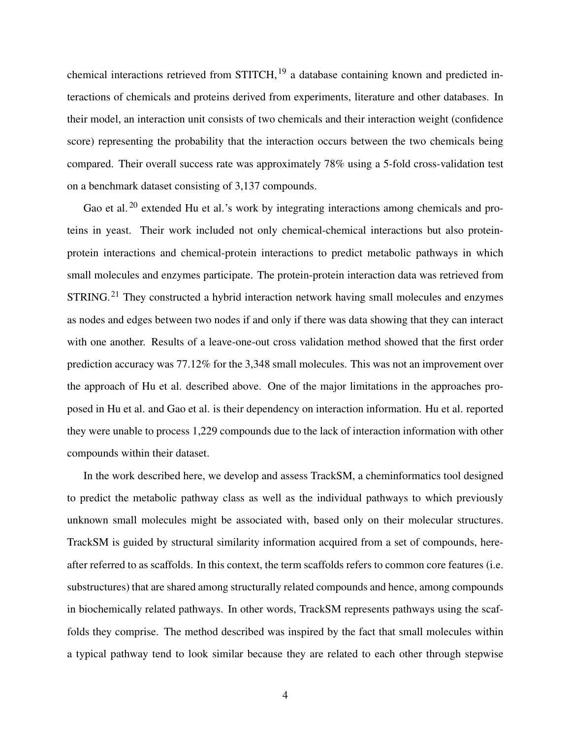chemical interactions retrieved from STITCH,<sup>19</sup> a database containing known and predicted interactions of chemicals and proteins derived from experiments, literature and other databases. In their model, an interaction unit consists of two chemicals and their interaction weight (confidence score) representing the probability that the interaction occurs between the two chemicals being compared. Their overall success rate was approximately 78% using a 5-fold cross-validation test on a benchmark dataset consisting of 3,137 compounds.

Gao et al.<sup>20</sup> extended Hu et al.'s work by integrating interactions among chemicals and proteins in yeast. Their work included not only chemical-chemical interactions but also proteinprotein interactions and chemical-protein interactions to predict metabolic pathways in which small molecules and enzymes participate. The protein-protein interaction data was retrieved from STRING.<sup>21</sup> They constructed a hybrid interaction network having small molecules and enzymes as nodes and edges between two nodes if and only if there was data showing that they can interact with one another. Results of a leave-one-out cross validation method showed that the first order prediction accuracy was 77.12% for the 3,348 small molecules. This was not an improvement over the approach of Hu et al. described above. One of the major limitations in the approaches proposed in Hu et al. and Gao et al. is their dependency on interaction information. Hu et al. reported they were unable to process 1,229 compounds due to the lack of interaction information with other compounds within their dataset.

In the work described here, we develop and assess TrackSM, a cheminformatics tool designed to predict the metabolic pathway class as well as the individual pathways to which previously unknown small molecules might be associated with, based only on their molecular structures. TrackSM is guided by structural similarity information acquired from a set of compounds, hereafter referred to as scaffolds. In this context, the term scaffolds refers to common core features (i.e. substructures) that are shared among structurally related compounds and hence, among compounds in biochemically related pathways. In other words, TrackSM represents pathways using the scaffolds they comprise. The method described was inspired by the fact that small molecules within a typical pathway tend to look similar because they are related to each other through stepwise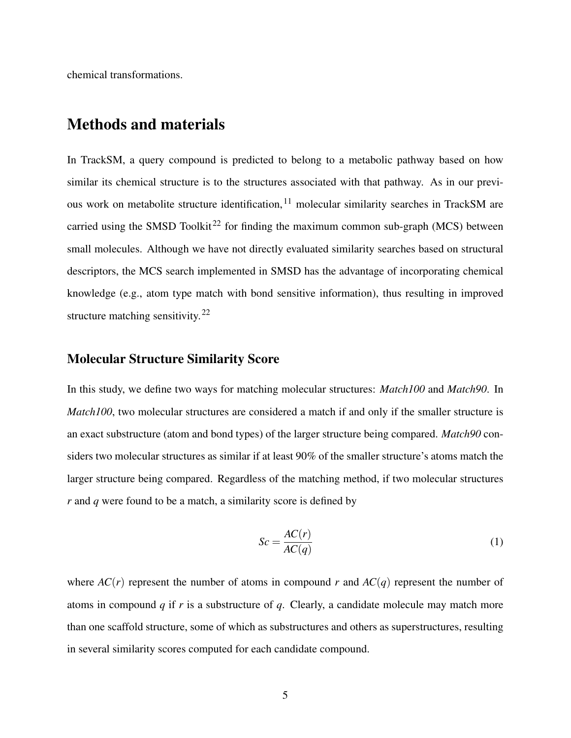chemical transformations.

# Methods and materials

In TrackSM, a query compound is predicted to belong to a metabolic pathway based on how similar its chemical structure is to the structures associated with that pathway. As in our previous work on metabolite structure identification,  $11$  molecular similarity searches in TrackSM are carried using the SMSD Toolkit<sup>22</sup> for finding the maximum common sub-graph (MCS) between small molecules. Although we have not directly evaluated similarity searches based on structural descriptors, the MCS search implemented in SMSD has the advantage of incorporating chemical knowledge (e.g., atom type match with bond sensitive information), thus resulting in improved structure matching sensitivity.<sup>22</sup>

## Molecular Structure Similarity Score

In this study, we define two ways for matching molecular structures: *Match100* and *Match90*. In *Match100*, two molecular structures are considered a match if and only if the smaller structure is an exact substructure (atom and bond types) of the larger structure being compared. *Match90* considers two molecular structures as similar if at least 90% of the smaller structure's atoms match the larger structure being compared. Regardless of the matching method, if two molecular structures *r* and *q* were found to be a match, a similarity score is defined by

$$
Sc = \frac{AC(r)}{AC(q)}\tag{1}
$$

where  $AC(r)$  represent the number of atoms in compound *r* and  $AC(q)$  represent the number of atoms in compound *q* if *r* is a substructure of *q*. Clearly, a candidate molecule may match more than one scaffold structure, some of which as substructures and others as superstructures, resulting in several similarity scores computed for each candidate compound.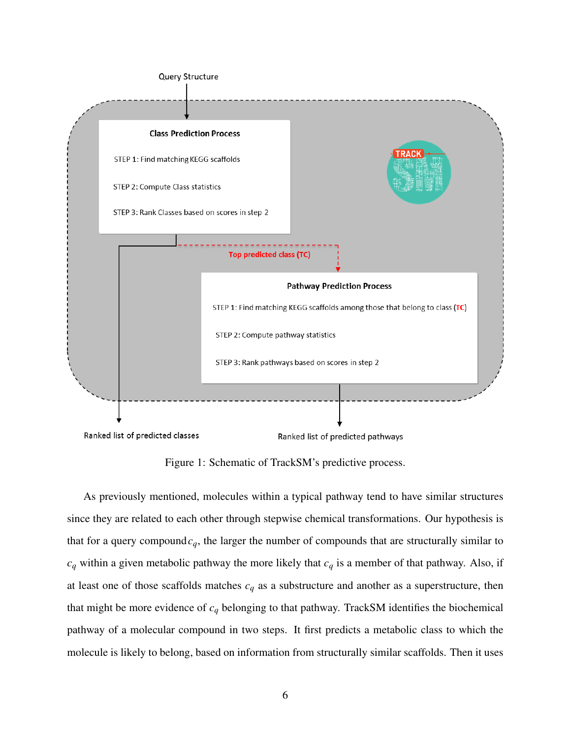

Figure 1: Schematic of TrackSM's predictive process.

As previously mentioned, molecules within a typical pathway tend to have similar structures since they are related to each other through stepwise chemical transformations. Our hypothesis is that for a query compound  $c_q$ , the larger the number of compounds that are structurally similar to  $c_q$  within a given metabolic pathway the more likely that  $c_q$  is a member of that pathway. Also, if at least one of those scaffolds matches  $c_q$  as a substructure and another as a superstructure, then that might be more evidence of  $c_q$  belonging to that pathway. TrackSM identifies the biochemical pathway of a molecular compound in two steps. It first predicts a metabolic class to which the molecule is likely to belong, based on information from structurally similar scaffolds. Then it uses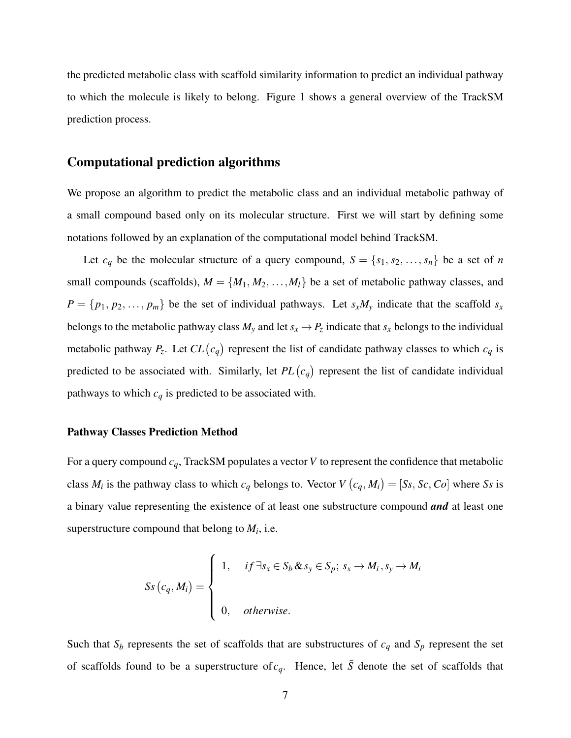the predicted metabolic class with scaffold similarity information to predict an individual pathway to which the molecule is likely to belong. Figure 1 shows a general overview of the TrackSM prediction process.

#### Computational prediction algorithms

We propose an algorithm to predict the metabolic class and an individual metabolic pathway of a small compound based only on its molecular structure. First we will start by defining some notations followed by an explanation of the computational model behind TrackSM.

Let  $c_q$  be the molecular structure of a query compound,  $S = \{s_1, s_2, \ldots, s_n\}$  be a set of *n* small compounds (scaffolds),  $M = \{M_1, M_2, \ldots, M_l\}$  be a set of metabolic pathway classes, and  $P = \{p_1, p_2, \dots, p_m\}$  be the set of individual pathways. Let  $s_x M_y$  indicate that the scaffold  $s_x$ belongs to the metabolic pathway class  $M_y$  and let  $s_x \to P_z$  indicate that  $s_x$  belongs to the individual metabolic pathway  $P_z$ . Let  $CL$  ( $c_q$ ) represent the list of candidate pathway classes to which  $c_q$  is predicted to be associated with. Similarly, let  $PL(c_q)$  represent the list of candidate individual pathways to which *c<sup>q</sup>* is predicted to be associated with.

#### Pathway Classes Prediction Method

For a query compound  $c_q$ , TrackSM populates a vector *V* to represent the confidence that metabolic class  $M_i$  is the pathway class to which  $c_q$  belongs to. Vector  $V(c_q, M_i) = [S_s, Sc, Co]$  where  $S_s$  is a binary value representing the existence of at least one substructure compound *and* at least one superstructure compound that belong to  $M_i$ , i.e.

$$
Ss(c_q, M_i) = \begin{cases} 1, & if \exists s_x \in S_b \& s_y \in S_p; s_x \rightarrow M_i, s_y \rightarrow M_i \\ & 0, & otherwise. \end{cases}
$$

Such that  $S_b$  represents the set of scaffolds that are substructures of  $c_q$  and  $S_p$  represent the set of scaffolds found to be a superstructure of  $c_q$ . Hence, let  $\overline{S}$  denote the set of scaffolds that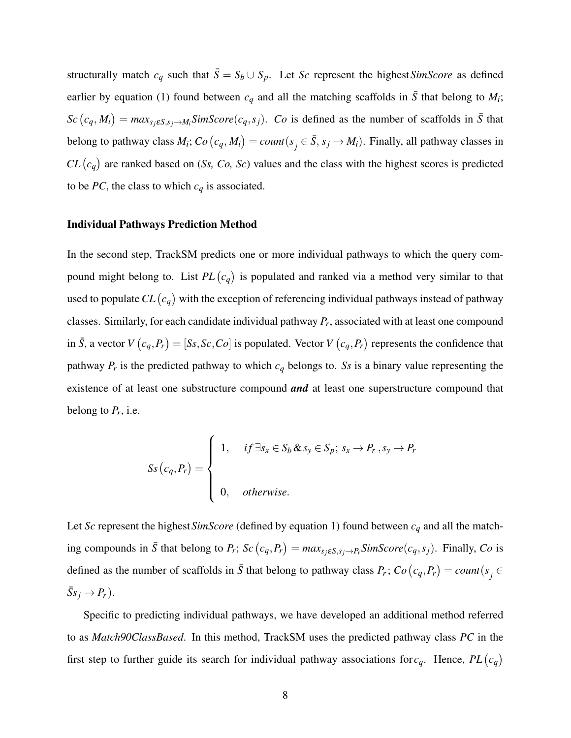structurally match  $c_q$  such that  $\bar{S} = S_b \cup S_p$ . Let *Sc* represent the highest *SimScore* as defined earlier by equation (1) found between  $c_q$  and all the matching scaffolds in  $\bar{S}$  that belong to  $M_i$ ;  $Sc(c_q, M_i) = max_{s_j \in S, s_j \to M_i} SimScore(c_q, s_j)$ . Co is defined as the number of scaffolds in  $\overline{S}$  that belong to pathway class  $M_i$ ;  $Co$   $(c_q, M_i) = count(s_j \in \bar{S}, s_j \rightarrow M_i)$ . Finally, all pathway classes in  $CL$  ( $c_q$ ) are ranked based on (*Ss, Co, Sc*) values and the class with the highest scores is predicted to be *PC*, the class to which *c<sup>q</sup>* is associated.

#### Individual Pathways Prediction Method

In the second step, TrackSM predicts one or more individual pathways to which the query compound might belong to. List  $PL(c_q)$  is populated and ranked via a method very similar to that used to populate  $CL$   $(c_q)$  with the exception of referencing individual pathways instead of pathway classes. Similarly, for each candidate individual pathway *P<sup>r</sup>* , associated with at least one compound in  $\bar{S}$ , a vector  $V(c_q, P_r) = [S_s, Sc, Co]$  is populated. Vector  $V(c_q, P_r)$  represents the confidence that pathway  $P_r$  is the predicted pathway to which  $c_q$  belongs to. *Ss* is a binary value representing the existence of at least one substructure compound *and* at least one superstructure compound that belong to  $P_r$ , i.e.

$$
Ss(c_q, P_r) = \begin{cases} 1, & if \exists s_x \in S_b \& s_y \in S_p; \ s_x \rightarrow P_r, s_y \rightarrow P_r \\ & 0, & otherwise. \end{cases}
$$

Let *Sc* represent the highest*SimScore* (defined by equation 1) found between *c<sup>q</sup>* and all the matching compounds in  $\bar{S}$  that belong to  $P_r$ ;  $Sc(c_q, P_r) = max_{s_j \in S, s_j \to P_r} SimScore(c_q, s_j)$ . Finally,  $Co$  is defined as the number of scaffolds in  $\bar{S}$  that belong to pathway class  $P_r$ ;  $Co$   $(c_q, P_r) = count(s_j \in$  $\bar{S}s_j \rightarrow P_r$ ).

Specific to predicting individual pathways, we have developed an additional method referred to as *Match90ClassBased*. In this method, TrackSM uses the predicted pathway class *PC* in the first step to further guide its search for individual pathway associations for  $c_q$ . Hence,  $PL(c_q)$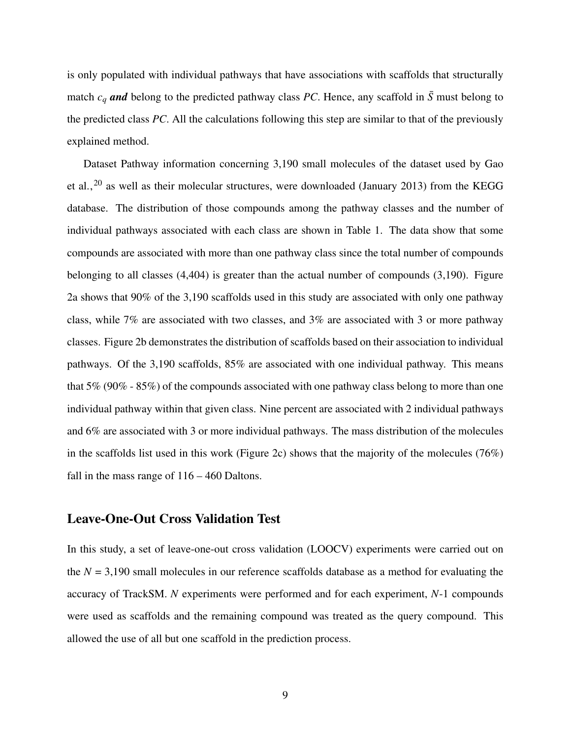is only populated with individual pathways that have associations with scaffolds that structurally match  $c_q$  **and** belong to the predicted pathway class *PC*. Hence, any scaffold in  $\overline{S}$  must belong to the predicted class *PC*. All the calculations following this step are similar to that of the previously explained method.

Dataset Pathway information concerning 3,190 small molecules of the dataset used by Gao et al.,<sup>20</sup> as well as their molecular structures, were downloaded (January 2013) from the KEGG database. The distribution of those compounds among the pathway classes and the number of individual pathways associated with each class are shown in Table 1. The data show that some compounds are associated with more than one pathway class since the total number of compounds belonging to all classes (4,404) is greater than the actual number of compounds (3,190). Figure 2a shows that 90% of the 3,190 scaffolds used in this study are associated with only one pathway class, while  $7\%$  are associated with two classes, and  $3\%$  are associated with 3 or more pathway classes. Figure 2b demonstrates the distribution of scaffolds based on their association to individual pathways. Of the 3,190 scaffolds, 85% are associated with one individual pathway. This means that 5% (90% - 85%) of the compounds associated with one pathway class belong to more than one individual pathway within that given class. Nine percent are associated with 2 individual pathways and 6% are associated with 3 or more individual pathways. The mass distribution of the molecules in the scaffolds list used in this work (Figure 2c) shows that the majority of the molecules (76%) fall in the mass range of  $116 - 460$  Daltons.

## Leave-One-Out Cross Validation Test

In this study, a set of leave-one-out cross validation (LOOCV) experiments were carried out on the  $N = 3,190$  small molecules in our reference scaffolds database as a method for evaluating the accuracy of TrackSM. *N* experiments were performed and for each experiment, *N*-1 compounds were used as scaffolds and the remaining compound was treated as the query compound. This allowed the use of all but one scaffold in the prediction process.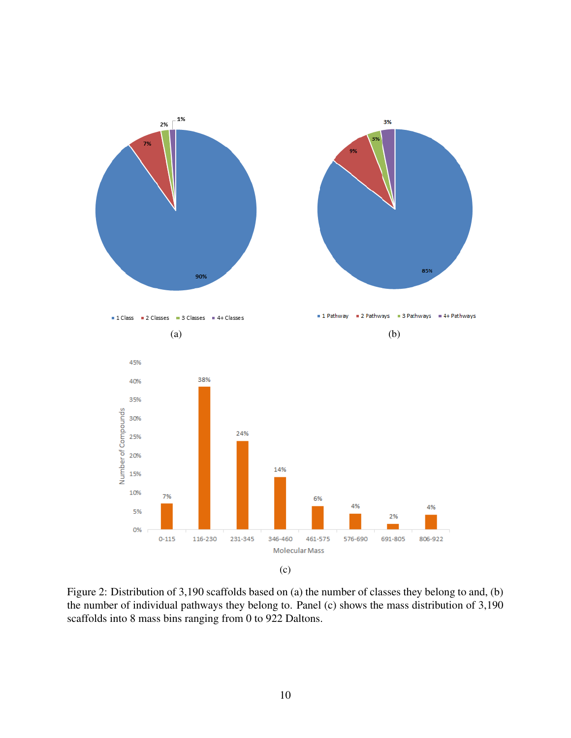

Figure 2: Distribution of 3,190 scaffolds based on (a) the number of classes they belong to and, (b) the number of individual pathways they belong to. Panel (c) shows the mass distribution of 3,190 scaffolds into 8 mass bins ranging from 0 to 922 Daltons.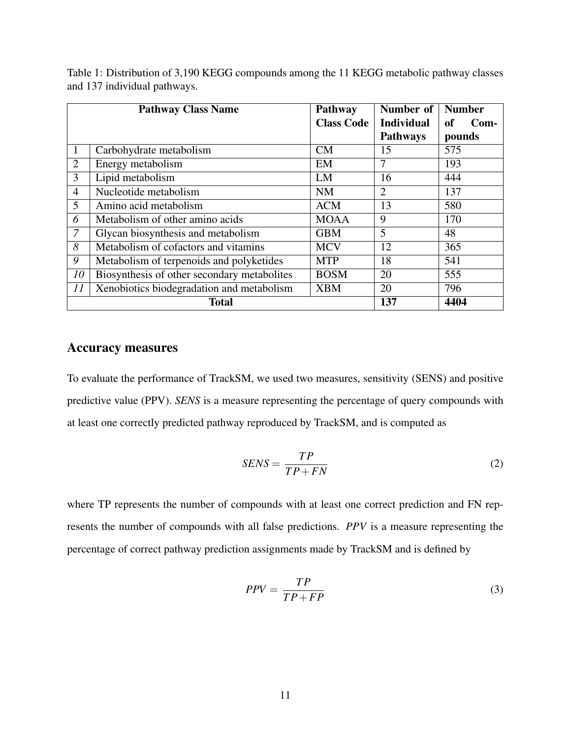|                | <b>Pathway Class Name</b>                   | Pathway           | Number of         | <b>Number</b> |  |
|----------------|---------------------------------------------|-------------------|-------------------|---------------|--|
|                |                                             | <b>Class Code</b> | <b>Individual</b> | $Com-$<br>оf  |  |
|                |                                             |                   | <b>Pathways</b>   | pounds        |  |
| 1              | Carbohydrate metabolism                     | CM                | 15                | 575           |  |
| 2              | Energy metabolism                           | EM                | 7                 | 193           |  |
| 3              | Lipid metabolism                            | LM                | 16                | 444           |  |
| $\overline{4}$ | Nucleotide metabolism                       | <b>NM</b>         | $\overline{2}$    | 137           |  |
| 5              | Amino acid metabolism                       | <b>ACM</b>        | 13                | 580           |  |
| 6              | Metabolism of other amino acids             | <b>MOAA</b>       | 9                 | 170           |  |
| 7              | Glycan biosynthesis and metabolism          | <b>GBM</b>        | 5                 | 48            |  |
| 8              | Metabolism of cofactors and vitamins        | <b>MCV</b>        | 12                | 365           |  |
| 9              | Metabolism of terpenoids and polyketides    | <b>MTP</b>        | 18                | 541           |  |
| 10             | Biosynthesis of other secondary metabolites | <b>BOSM</b>       | 20                | 555           |  |
| 11             | Xenobiotics biodegradation and metabolism   | <b>XBM</b>        | 20                | 796           |  |
|                | <b>Total</b>                                |                   | 137               | 4404          |  |

Table 1: Distribution of 3,190 KEGG compounds among the 11 KEGG metabolic pathway classes and 137 individual pathways.

## Accuracy measures

To evaluate the performance of TrackSM, we used two measures, sensitivity (SENS) and positive predictive value (PPV). *SENS* is a measure representing the percentage of query compounds with at least one correctly predicted pathway reproduced by TrackSM, and is computed as

$$
SENS = \frac{TP}{TP + FN} \tag{2}
$$

where TP represents the number of compounds with at least one correct prediction and FN represents the number of compounds with all false predictions. *PPV* is a measure representing the percentage of correct pathway prediction assignments made by TrackSM and is defined by

$$
PPV = \frac{TP}{TP + FP}
$$
 (3)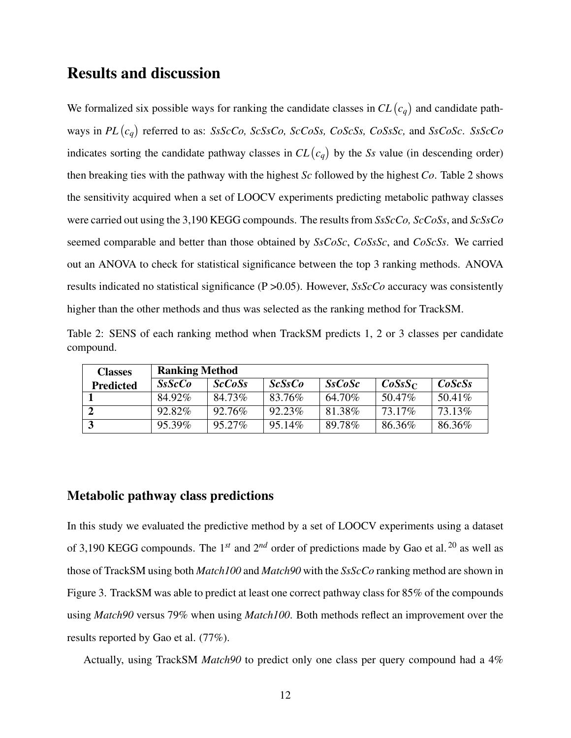# Results and discussion

We formalized six possible ways for ranking the candidate classes in  $CL$   $(c_q)$  and candidate pathways in PL(c<sub>q</sub>) referred to as: SsScCo, ScSsCo, ScCoSs, CoScSs, CoSsSc, and SsCoSc. SsScCo indicates sorting the candidate pathway classes in  $CL$   $(c_q)$  by the *Ss* value (in descending order) then breaking ties with the pathway with the highest *Sc* followed by the highest *Co*. Table 2 shows the sensitivity acquired when a set of LOOCV experiments predicting metabolic pathway classes were carried out using the 3,190 KEGG compounds. The results from *SsScCo, ScCoSs*, and *ScSsCo* seemed comparable and better than those obtained by *SsCoSc*, *CoSsSc*, and *CoScSs*. We carried out an ANOVA to check for statistical significance between the top 3 ranking methods. ANOVA results indicated no statistical significance (P >0.05). However, *SsScCo* accuracy was consistently higher than the other methods and thus was selected as the ranking method for TrackSM.

|           |  |  | Table 2: SENS of each ranking method when TrackSM predicts 1, 2 or 3 classes per candidate |  |  |  |
|-----------|--|--|--------------------------------------------------------------------------------------------|--|--|--|
| compound. |  |  |                                                                                            |  |  |  |

| <b>Classes</b>   | <b>Ranking Method</b> |         |         |        |         |         |  |  |  |  |
|------------------|-----------------------|---------|---------|--------|---------|---------|--|--|--|--|
| <b>Predicted</b> | SsScCo                | ScCoSs  | ScSsCo  | SsCoSc | CoSSC   | CoScSs  |  |  |  |  |
|                  | 84.92%                | 84.73%  | 83.76%  | 64.70% | 50.47\% | 50.41\% |  |  |  |  |
|                  | 92.82%                | 92.76%  | 92.23%  | 81.38% | 73.17%  | 73.13%  |  |  |  |  |
|                  | 95.39%                | 95.27\% | 95.14\% | 89.78% | 86.36%  | 86.36%  |  |  |  |  |

## Metabolic pathway class predictions

In this study we evaluated the predictive method by a set of LOOCV experiments using a dataset of 3,190 KEGG compounds. The 1*st* and 2*nd* order of predictions made by Gao et al. <sup>20</sup> as well as those of TrackSM using both *Match100* and *Match90* with the *SsScCo* ranking method are shown in Figure 3. TrackSM was able to predict at least one correct pathway class for 85% of the compounds using *Match90* versus 79% when using *Match100*. Both methods reflect an improvement over the results reported by Gao et al. (77%).

Actually, using TrackSM *Match90* to predict only one class per query compound had a 4%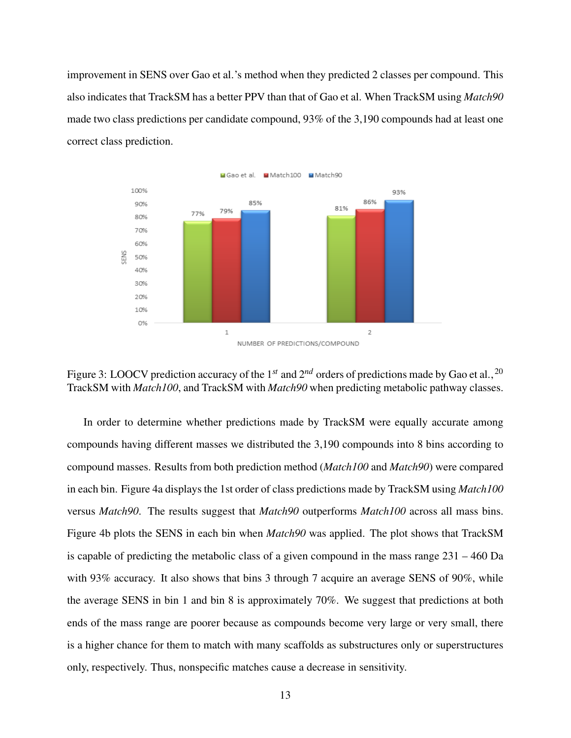improvement in SENS over Gao et al.'s method when they predicted 2 classes per compound. This also indicates that TrackSM has a better PPV than that of Gao et al. When TrackSM using *Match90* made two class predictions per candidate compound, 93% of the 3,190 compounds had at least one correct class prediction.





In order to determine whether predictions made by TrackSM were equally accurate among compounds having different masses we distributed the 3,190 compounds into 8 bins according to compound masses. Results from both prediction method (*Match100* and *Match90*) were compared in each bin. Figure 4a displays the 1st order of class predictions made by TrackSM using *Match100* versus *Match90*. The results suggest that *Match90* outperforms *Match100* across all mass bins. Figure 4b plots the SENS in each bin when *Match90* was applied. The plot shows that TrackSM is capable of predicting the metabolic class of a given compound in the mass range 231 – 460 Da with 93% accuracy. It also shows that bins 3 through 7 acquire an average SENS of 90%, while the average SENS in bin 1 and bin 8 is approximately 70%. We suggest that predictions at both ends of the mass range are poorer because as compounds become very large or very small, there is a higher chance for them to match with many scaffolds as substructures only or superstructures only, respectively. Thus, nonspecific matches cause a decrease in sensitivity.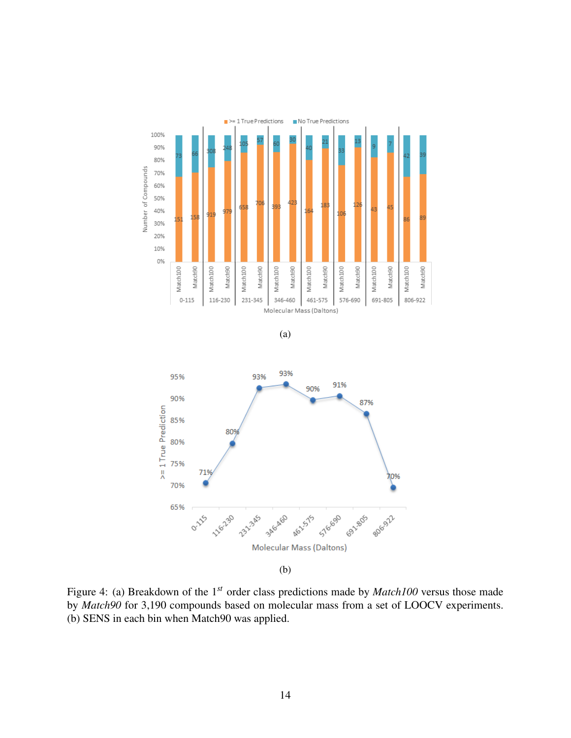

(a)



Figure 4: (a) Breakdown of the 1*st* order class predictions made by *Match100* versus those made by *Match90* for 3,190 compounds based on molecular mass from a set of LOOCV experiments. (b) SENS in each bin when Match90 was applied.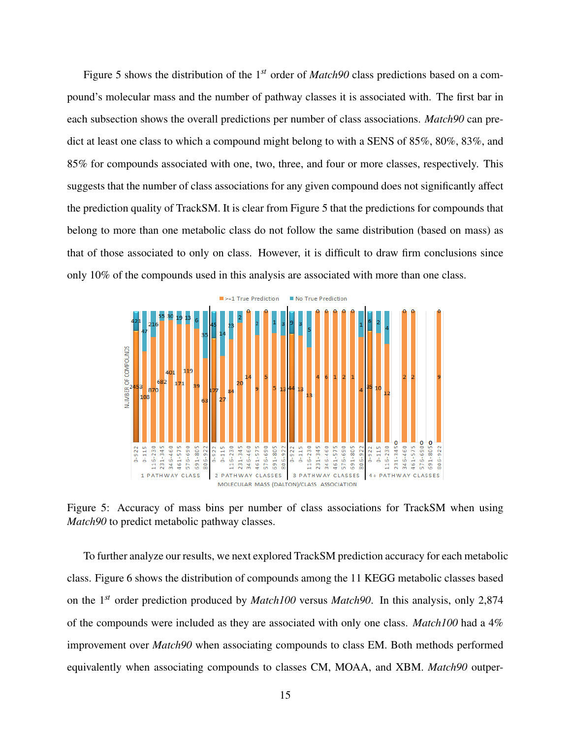Figure 5 shows the distribution of the 1*st* order of *Match90* class predictions based on a compound's molecular mass and the number of pathway classes it is associated with. The first bar in each subsection shows the overall predictions per number of class associations. *Match90* can predict at least one class to which a compound might belong to with a SENS of 85%, 80%, 83%, and 85% for compounds associated with one, two, three, and four or more classes, respectively. This suggests that the number of class associations for any given compound does not significantly affect the prediction quality of TrackSM. It is clear from Figure 5 that the predictions for compounds that belong to more than one metabolic class do not follow the same distribution (based on mass) as that of those associated to only on class. However, it is difficult to draw firm conclusions since only 10% of the compounds used in this analysis are associated with more than one class.



Figure 5: Accuracy of mass bins per number of class associations for TrackSM when using *Match90* to predict metabolic pathway classes.

To further analyze our results, we next explored TrackSM prediction accuracy for each metabolic class. Figure 6 shows the distribution of compounds among the 11 KEGG metabolic classes based on the 1*st* order prediction produced by *Match100* versus *Match90*. In this analysis, only 2,874 of the compounds were included as they are associated with only one class. *Match100* had a 4% improvement over *Match90* when associating compounds to class EM. Both methods performed equivalently when associating compounds to classes CM, MOAA, and XBM. *Match90* outper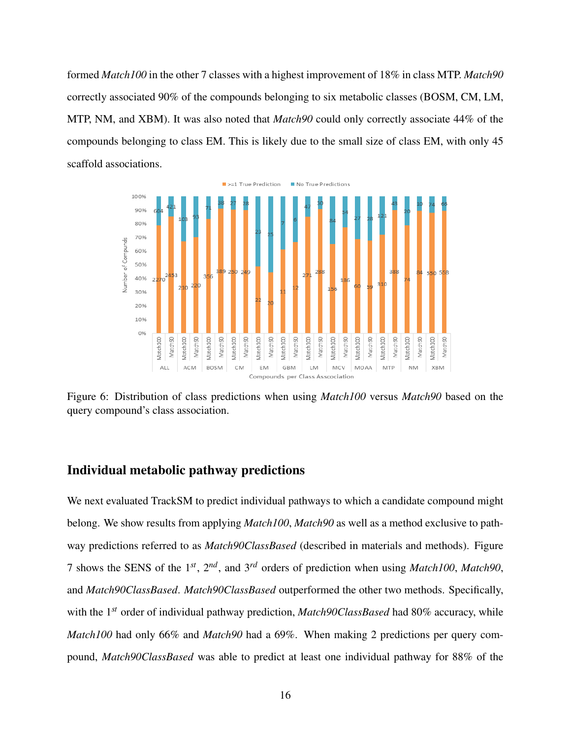formed *Match100* in the other 7 classes with a highest improvement of 18% in class MTP. *Match90* correctly associated 90% of the compounds belonging to six metabolic classes (BOSM, CM, LM, MTP, NM, and XBM). It was also noted that *Match90* could only correctly associate 44% of the compounds belonging to class EM. This is likely due to the small size of class EM, with only 45 scaffold associations.



Figure 6: Distribution of class predictions when using *Match100* versus *Match90* based on the query compound's class association.

#### Individual metabolic pathway predictions

We next evaluated TrackSM to predict individual pathways to which a candidate compound might belong. We show results from applying *Match100*, *Match90* as well as a method exclusive to pathway predictions referred to as *Match90ClassBased* (described in materials and methods). Figure 7 shows the SENS of the 1*st*, 2*nd*, and 3*rd* orders of prediction when using *Match100*, *Match90*, and *Match90ClassBased*. *Match90ClassBased* outperformed the other two methods. Specifically, with the 1*st* order of individual pathway prediction, *Match90ClassBased* had 80% accuracy, while *Match100* had only 66% and *Match90* had a 69%. When making 2 predictions per query compound, *Match90ClassBased* was able to predict at least one individual pathway for 88% of the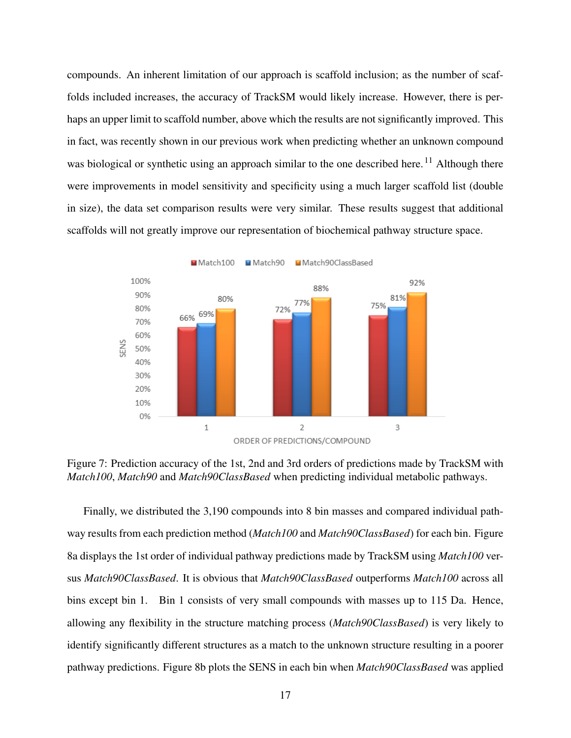compounds. An inherent limitation of our approach is scaffold inclusion; as the number of scaffolds included increases, the accuracy of TrackSM would likely increase. However, there is perhaps an upper limit to scaffold number, above which the results are not significantly improved. This in fact, was recently shown in our previous work when predicting whether an unknown compound was biological or synthetic using an approach similar to the one described here.<sup>11</sup> Although there were improvements in model sensitivity and specificity using a much larger scaffold list (double in size), the data set comparison results were very similar. These results suggest that additional scaffolds will not greatly improve our representation of biochemical pathway structure space.



Figure 7: Prediction accuracy of the 1st, 2nd and 3rd orders of predictions made by TrackSM with *Match100*, *Match90* and *Match90ClassBased* when predicting individual metabolic pathways.

Finally, we distributed the 3,190 compounds into 8 bin masses and compared individual pathway results from each prediction method (*Match100* and *Match90ClassBased*) for each bin. Figure 8a displays the 1st order of individual pathway predictions made by TrackSM using *Match100* versus *Match90ClassBased*. It is obvious that *Match90ClassBased* outperforms *Match100* across all bins except bin 1. Bin 1 consists of very small compounds with masses up to 115 Da. Hence, allowing any flexibility in the structure matching process (*Match90ClassBased*) is very likely to identify significantly different structures as a match to the unknown structure resulting in a poorer pathway predictions. Figure 8b plots the SENS in each bin when *Match90ClassBased* was applied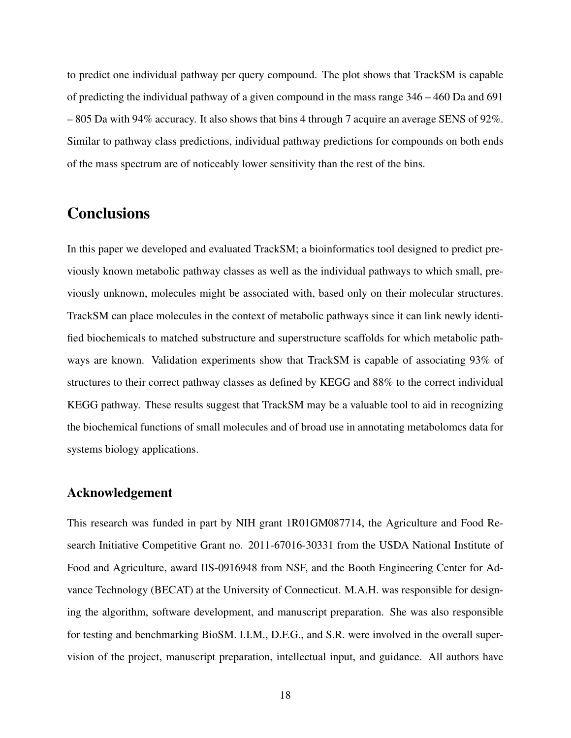to predict one individual pathway per query compound. The plot shows that TrackSM is capable of predicting the individual pathway of a given compound in the mass range 346 – 460 Da and 691 – 805 Da with 94% accuracy. It also shows that bins 4 through 7 acquire an average SENS of 92%. Similar to pathway class predictions, individual pathway predictions for compounds on both ends of the mass spectrum are of noticeably lower sensitivity than the rest of the bins.

# **Conclusions**

In this paper we developed and evaluated TrackSM; a bioinformatics tool designed to predict previously known metabolic pathway classes as well as the individual pathways to which small, previously unknown, molecules might be associated with, based only on their molecular structures. TrackSM can place molecules in the context of metabolic pathways since it can link newly identified biochemicals to matched substructure and superstructure scaffolds for which metabolic pathways are known. Validation experiments show that TrackSM is capable of associating 93% of structures to their correct pathway classes as defined by KEGG and 88% to the correct individual KEGG pathway. These results suggest that TrackSM may be a valuable tool to aid in recognizing the biochemical functions of small molecules and of broad use in annotating metabolomcs data for systems biology applications.

#### Acknowledgement

This research was funded in part by NIH grant 1R01GM087714, the Agriculture and Food Research Initiative Competitive Grant no. 2011-67016-30331 from the USDA National Institute of Food and Agriculture, award IIS-0916948 from NSF, and the Booth Engineering Center for Advance Technology (BECAT) at the University of Connecticut. M.A.H. was responsible for designing the algorithm, software development, and manuscript preparation. She was also responsible for testing and benchmarking BioSM. I.I.M., D.F.G., and S.R. were involved in the overall supervision of the project, manuscript preparation, intellectual input, and guidance. All authors have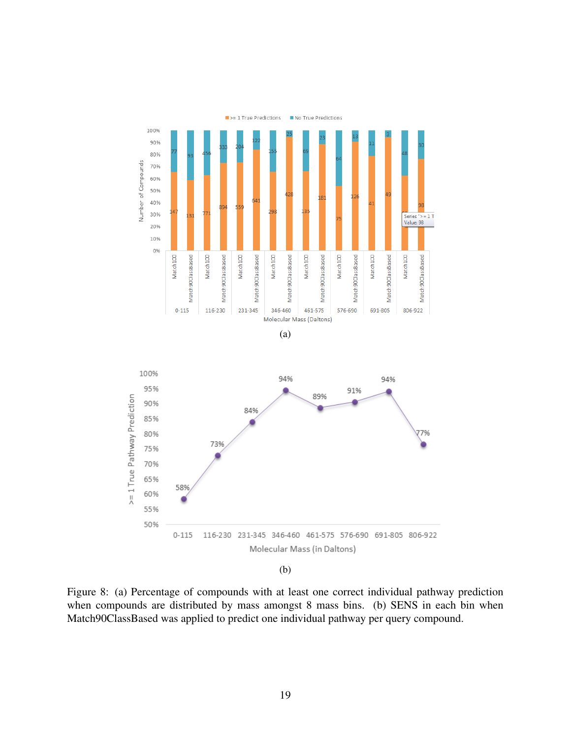

(b)

Figure 8: (a) Percentage of compounds with at least one correct individual pathway prediction when compounds are distributed by mass amongst 8 mass bins. (b) SENS in each bin when Match90ClassBased was applied to predict one individual pathway per query compound.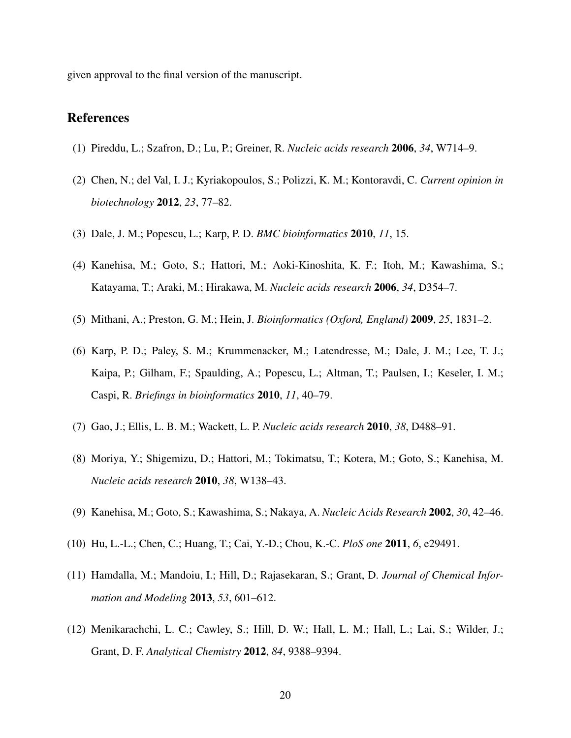given approval to the final version of the manuscript.

## References

- (1) Pireddu, L.; Szafron, D.; Lu, P.; Greiner, R. *Nucleic acids research* 2006, *34*, W714–9.
- (2) Chen, N.; del Val, I. J.; Kyriakopoulos, S.; Polizzi, K. M.; Kontoravdi, C. *Current opinion in biotechnology* 2012, *23*, 77–82.
- (3) Dale, J. M.; Popescu, L.; Karp, P. D. *BMC bioinformatics* 2010, *11*, 15.
- (4) Kanehisa, M.; Goto, S.; Hattori, M.; Aoki-Kinoshita, K. F.; Itoh, M.; Kawashima, S.; Katayama, T.; Araki, M.; Hirakawa, M. *Nucleic acids research* 2006, *34*, D354–7.
- (5) Mithani, A.; Preston, G. M.; Hein, J. *Bioinformatics (Oxford, England)* 2009, *25*, 1831–2.
- (6) Karp, P. D.; Paley, S. M.; Krummenacker, M.; Latendresse, M.; Dale, J. M.; Lee, T. J.; Kaipa, P.; Gilham, F.; Spaulding, A.; Popescu, L.; Altman, T.; Paulsen, I.; Keseler, I. M.; Caspi, R. *Briefings in bioinformatics* 2010, *11*, 40–79.
- (7) Gao, J.; Ellis, L. B. M.; Wackett, L. P. *Nucleic acids research* 2010, *38*, D488–91.
- (8) Moriya, Y.; Shigemizu, D.; Hattori, M.; Tokimatsu, T.; Kotera, M.; Goto, S.; Kanehisa, M. *Nucleic acids research* 2010, *38*, W138–43.
- (9) Kanehisa, M.; Goto, S.; Kawashima, S.; Nakaya, A. *Nucleic Acids Research* 2002, *30*, 42–46.
- (10) Hu, L.-L.; Chen, C.; Huang, T.; Cai, Y.-D.; Chou, K.-C. *PloS one* 2011, *6*, e29491.
- (11) Hamdalla, M.; Mandoiu, I.; Hill, D.; Rajasekaran, S.; Grant, D. *Journal of Chemical Information and Modeling* 2013, *53*, 601–612.
- (12) Menikarachchi, L. C.; Cawley, S.; Hill, D. W.; Hall, L. M.; Hall, L.; Lai, S.; Wilder, J.; Grant, D. F. *Analytical Chemistry* 2012, *84*, 9388–9394.